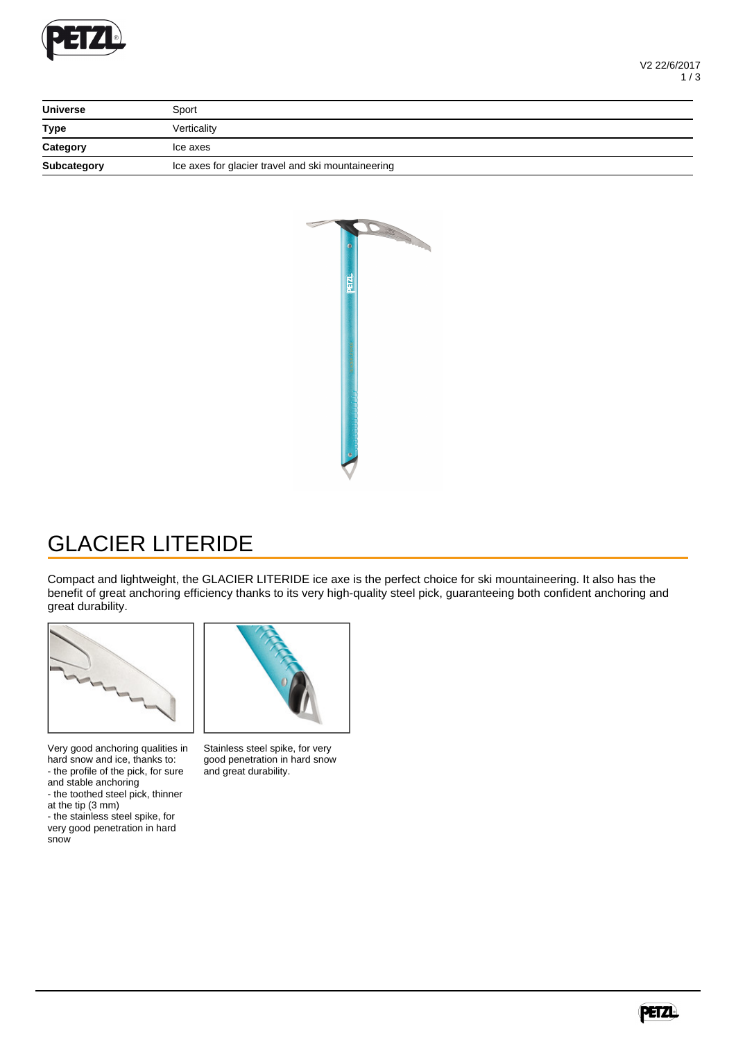

| <b>Universe</b> | Sport                                              |
|-----------------|----------------------------------------------------|
| <b>Type</b>     | Verticality                                        |
| Category        | Ice axes                                           |
| Subcategory     | Ice axes for glacier travel and ski mountaineering |



## GLACIER LITERIDE

Compact and lightweight, the GLACIER LITERIDE ice axe is the perfect choice for ski mountaineering. It also has the benefit of great anchoring efficiency thanks to its very high-quality steel pick, guaranteeing both confident anchoring and great durability.



Very good anchoring qualities in hard snow and ice, thanks to: - the profile of the pick, for sure and stable anchoring

- the toothed steel pick, thinner at the tip (3 mm)

- the stainless steel spike, for very good penetration in hard snow



Stainless steel spike, for very good penetration in hard snow and great durability.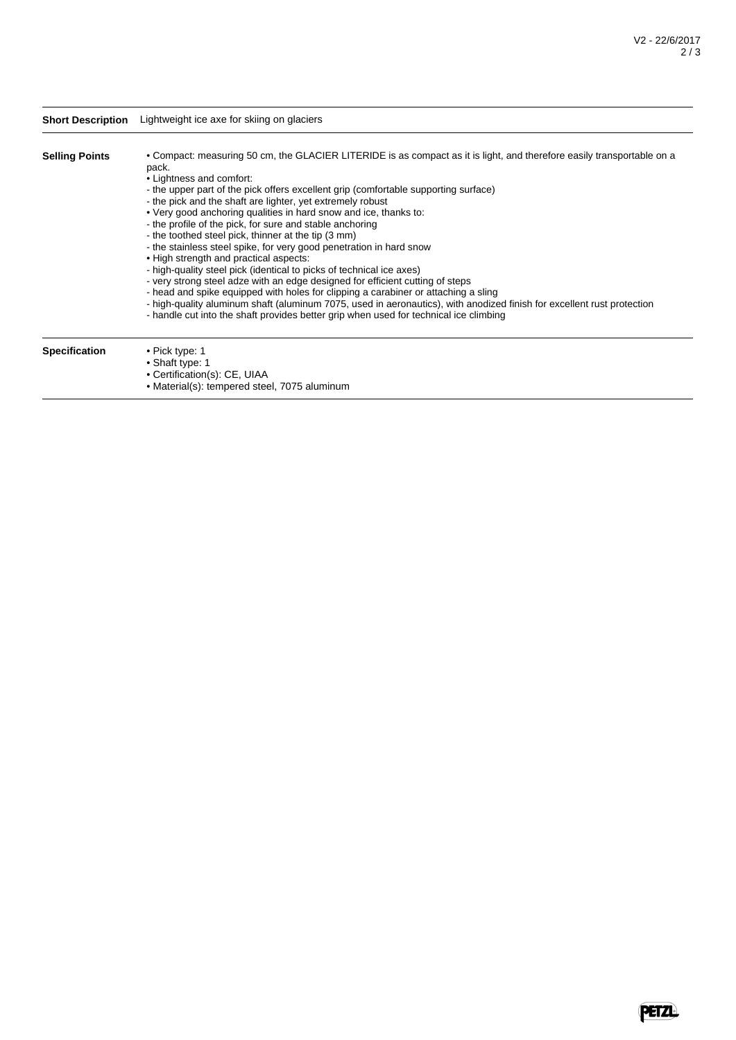|                       | Short Description Lightweight ice axe for skiing on glaciers                                                                                                                                                                                                                                                                                                                                                                                                                                                                                                                                                                                                                                                                                                                                                                                                                                                                                                                                                                                                                               |
|-----------------------|--------------------------------------------------------------------------------------------------------------------------------------------------------------------------------------------------------------------------------------------------------------------------------------------------------------------------------------------------------------------------------------------------------------------------------------------------------------------------------------------------------------------------------------------------------------------------------------------------------------------------------------------------------------------------------------------------------------------------------------------------------------------------------------------------------------------------------------------------------------------------------------------------------------------------------------------------------------------------------------------------------------------------------------------------------------------------------------------|
| <b>Selling Points</b> | • Compact: measuring 50 cm, the GLACIER LITERIDE is as compact as it is light, and therefore easily transportable on a<br>pack.<br>• Lightness and comfort:<br>- the upper part of the pick offers excellent grip (comfortable supporting surface)<br>- the pick and the shaft are lighter, yet extremely robust<br>. Very good anchoring qualities in hard snow and ice, thanks to:<br>- the profile of the pick, for sure and stable anchoring<br>- the toothed steel pick, thinner at the tip (3 mm)<br>- the stainless steel spike, for very good penetration in hard snow<br>. High strength and practical aspects:<br>- high-quality steel pick (identical to picks of technical ice axes)<br>- very strong steel adze with an edge designed for efficient cutting of steps<br>- head and spike equipped with holes for clipping a carabiner or attaching a sling<br>- high-quality aluminum shaft (aluminum 7075, used in aeronautics), with anodized finish for excellent rust protection<br>- handle cut into the shaft provides better grip when used for technical ice climbing |
| <b>Specification</b>  | • Pick type: 1<br>• Shaft type: 1<br>• Certification(s): CE, UIAA                                                                                                                                                                                                                                                                                                                                                                                                                                                                                                                                                                                                                                                                                                                                                                                                                                                                                                                                                                                                                          |

• Material(s): tempered steel, 7075 aluminum